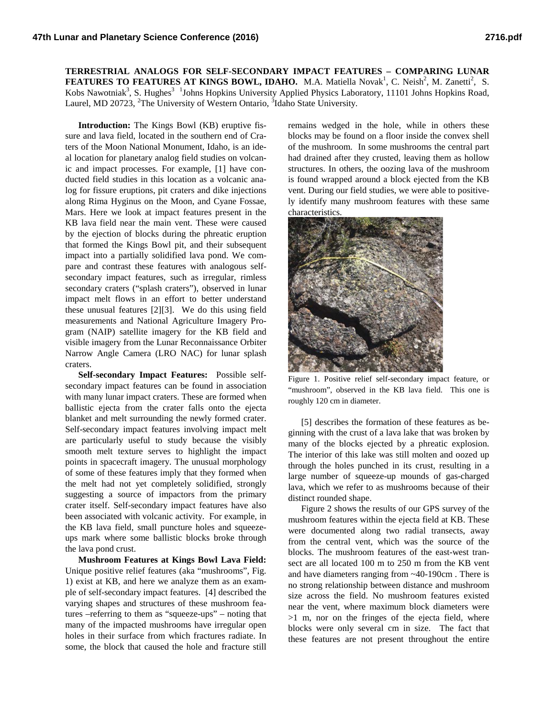**TERRESTRIAL ANALOGS FOR SELF-SECONDARY IMPACT FEATURES – COMPARING LUNAR FEATURES TO FEATURES AT KINGS BOWL, IDAHO.** M.A. Matiella Novak<sup>1</sup>, C. Neish<sup>2</sup>, M. Zanetti<sup>2</sup>, S. Kobs Nawotniak<sup>3</sup>, S. Hughes<sup>3</sup><sup>1</sup>Johns Hopkins University Applied Physics Laboratory, 11101 Johns Hopkins Road, Laurel, MD 20723, <sup>2</sup>The University of Western Ontario, <sup>3</sup>Idaho State University.

**Introduction:** The Kings Bowl (KB) eruptive fissure and lava field, located in the southern end of Craters of the Moon National Monument, Idaho, is an ideal location for planetary analog field studies on volcanic and impact processes. For example, [1] have conducted field studies in this location as a volcanic analog for fissure eruptions, pit craters and dike injections along Rima Hyginus on the Moon, and Cyane Fossae, Mars. Here we look at impact features present in the KB lava field near the main vent. These were caused by the ejection of blocks during the phreatic eruption that formed the Kings Bowl pit, and their subsequent impact into a partially solidified lava pond. We compare and contrast these features with analogous selfsecondary impact features, such as irregular, rimless secondary craters ("splash craters"), observed in lunar impact melt flows in an effort to better understand these unusual features [2][3]. We do this using field measurements and National Agriculture Imagery Program (NAIP) satellite imagery for the KB field and visible imagery from the Lunar Reconnaissance Orbiter Narrow Angle Camera (LRO NAC) for lunar splash craters.

**Self-secondary Impact Features:** Possible selfsecondary impact features can be found in association with many lunar impact craters. These are formed when ballistic ejecta from the crater falls onto the ejecta blanket and melt surrounding the newly formed crater. Self-secondary impact features involving impact melt are particularly useful to study because the visibly smooth melt texture serves to highlight the impact points in spacecraft imagery. The unusual morphology of some of these features imply that they formed when the melt had not yet completely solidified, strongly suggesting a source of impactors from the primary crater itself. Self-secondary impact features have also been associated with volcanic activity. For example, in the KB lava field, small puncture holes and squeezeups mark where some ballistic blocks broke through the lava pond crust.

**Mushroom Features at Kings Bowl Lava Field:** Unique positive relief features (aka "mushrooms", Fig. 1) exist at KB, and here we analyze them as an example of self-secondary impact features. [4] described the varying shapes and structures of these mushroom features –referring to them as "squeeze-ups" – noting that many of the impacted mushrooms have irregular open holes in their surface from which fractures radiate. In some, the block that caused the hole and fracture still

remains wedged in the hole, while in others these blocks may be found on a floor inside the convex shell of the mushroom. In some mushrooms the central part had drained after they crusted, leaving them as hollow structures. In others, the oozing lava of the mushroom is found wrapped around a block ejected from the KB vent. During our field studies, we were able to positively identify many mushroom features with these same characteristics.



Figure 1. Positive relief self-secondary impact feature, or "mushroom", observed in the KB lava field. This one is roughly 120 cm in diameter.

[5] describes the formation of these features as beginning with the crust of a lava lake that was broken by many of the blocks ejected by a phreatic explosion. The interior of this lake was still molten and oozed up through the holes punched in its crust, resulting in a large number of squeeze-up mounds of gas-charged lava, which we refer to as mushrooms because of their distinct rounded shape.

Figure 2 shows the results of our GPS survey of the mushroom features within the ejecta field at KB. These were documented along two radial transects, away from the central vent, which was the source of the blocks. The mushroom features of the east-west transect are all located 100 m to 250 m from the KB vent and have diameters ranging from ~40-190cm . There is no strong relationship between distance and mushroom size across the field. No mushroom features existed near the vent, where maximum block diameters were >1 m, nor on the fringes of the ejecta field, where blocks were only several cm in size. The fact that these features are not present throughout the entire